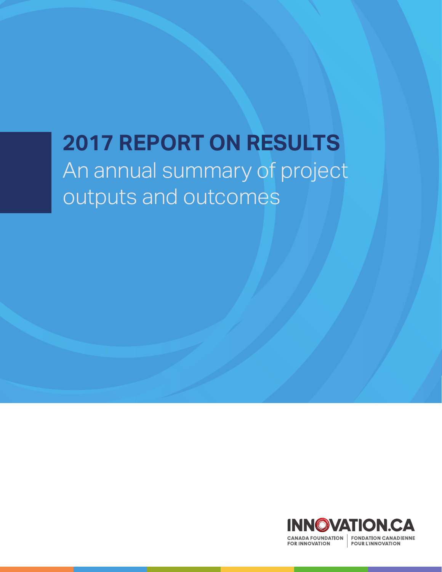# **2017 REPORT ON RESULTS** An annual summary of project outputs and outcomes

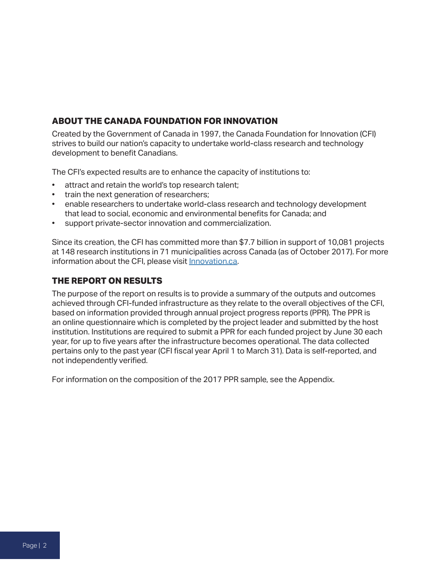#### **ABOUT THE CANADA FOUNDATION FOR INNOVATION**

Created by the Government of Canada in 1997, the Canada Foundation for Innovation (CFI) strives to build our nation's capacity to undertake world-class research and technology development to benefit Canadians.

The CFI's expected results are to enhance the capacity of institutions to:

- attract and retain the world's top research talent;
- train the next generation of researchers;
- enable researchers to undertake world-class research and technology development that lead to social, economic and environmental benefits for Canada; and
- support private-sector innovation and commercialization.

Since its creation, the CFI has committed more than \$7.7 billion in support of 10,081 projects at 148 research institutions in 71 municipalities across Canada (as of October 2017). For more information about the CFI, please visit **Innovation.ca**.

#### **THE REPORT ON RESULTS**

The purpose of the report on results is to provide a summary of the outputs and outcomes achieved through CFI-funded infrastructure as they relate to the overall objectives of the CFI, based on information provided through annual project progress reports (PPR). The PPR is an online questionnaire which is completed by the project leader and submitted by the host institution. Institutions are required to submit a PPR for each funded project by June 30 each year, for up to five years after the infrastructure becomes operational. The data collected pertains only to the past year (CFI fiscal year April 1 to March 31). Data is self-reported, and not independently verified.

For information on the composition of the 2017 PPR sample, see the Appendix.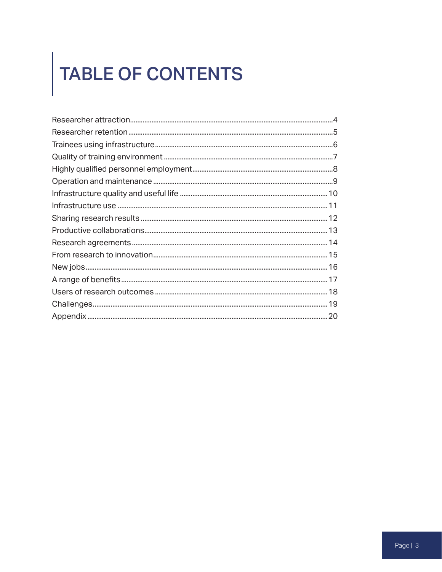# TABLE OF CONTENTS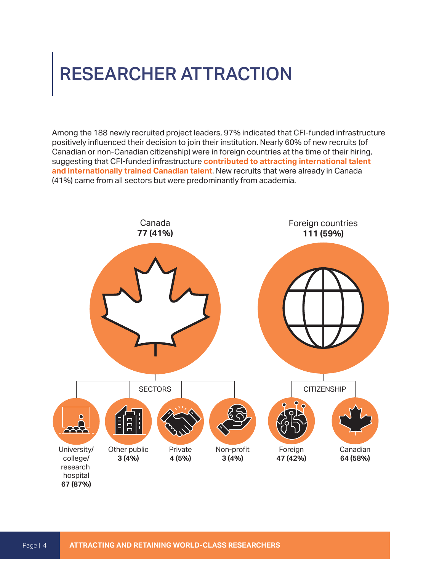#### <span id="page-3-0"></span>RESEARCHER ATTRACTION

Among the 188 newly recruited project leaders, 97% indicated that CFI-funded infrastructure positively influenced their decision to join their institution. Nearly 60% of new recruits (of Canadian or non-Canadian citizenship) were in foreign countries at the time of their hiring, suggesting that CFI-funded infrastructure **contributed to attracting international talent and internationally trained Canadian talent**. New recruits that were already in Canada (41%) came from all sectors but were predominantly from academia.

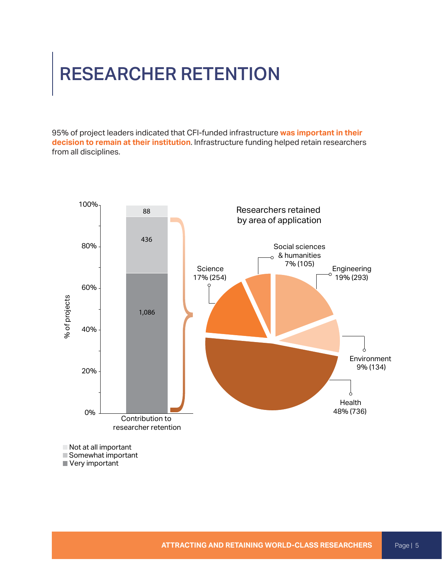#### <span id="page-4-0"></span>RESEARCHER RETENTION

95% of project leaders indicated that CFI-funded infrastructure **was important in their decision to remain at their institution**. Infrastructure funding helped retain researchers from all disciplines.



Very important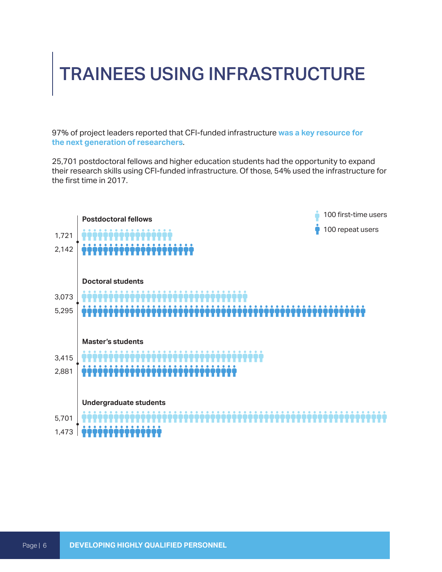#### <span id="page-5-0"></span>TRAINEES USING INFRASTRUCTURE

97% of project leaders reported that CFI-funded infrastructure **was a key resource for the next generation of researchers**.

25,701 postdoctoral fellows and higher education students had the opportunity to expand their research skills using CFI-funded infrastructure. Of those, 54% used the infrastructure for the first time in 2017.

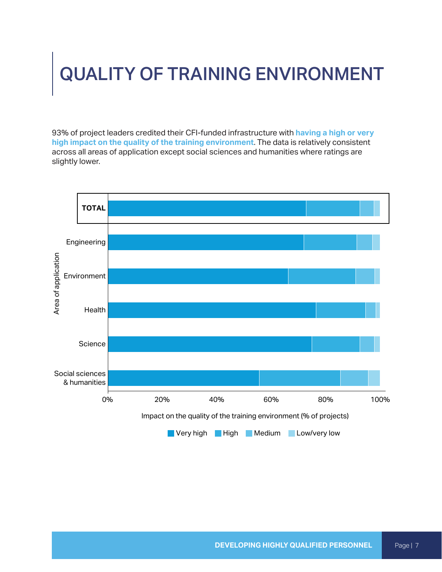## <span id="page-6-0"></span>QUALITY OF TRAINING ENVIRONMENT

93% of project leaders credited their CFI-funded infrastructure with **having a high or very high impact on the quality of the training environment**. The data is relatively consistent across all areas of application except social sciences and humanities where ratings are slightly lower.

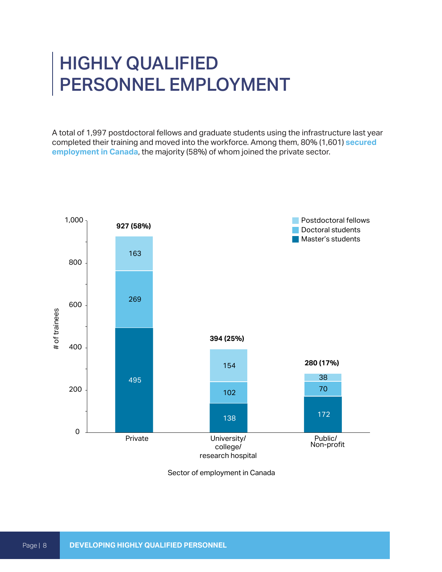#### <span id="page-7-0"></span>HIGHLY QUALIFIED PERSONNEL EMPLOYMENT

A total of 1,997 postdoctoral fellows and graduate students using the infrastructure last year completed their training and moved into the workforce. Among them, 80% (1,601) **secured employment in Canada**, the majority (58%) of whom joined the private sector.



Sector of employment in Canada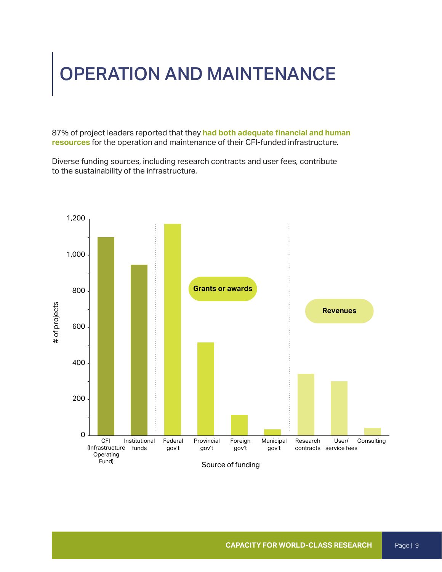#### <span id="page-8-0"></span>OPERATION AND MAINTENANCE

87% of project leaders reported that they **had both adequate financial and human resources** for the operation and maintenance of their CFI-funded infrastructure.

Diverse funding sources, including research contracts and user fees, contribute to the sustainability of the infrastructure.

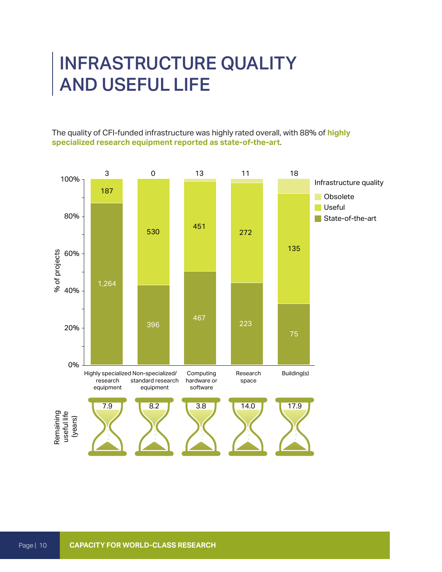#### <span id="page-9-0"></span>INFRASTRUCTURE QUALITY AND USEFUL LIFE

The quality of CFI-funded infrastructure was highly rated overall, with 88% of **highly specialized research equipment reported as state-of-the-art**.

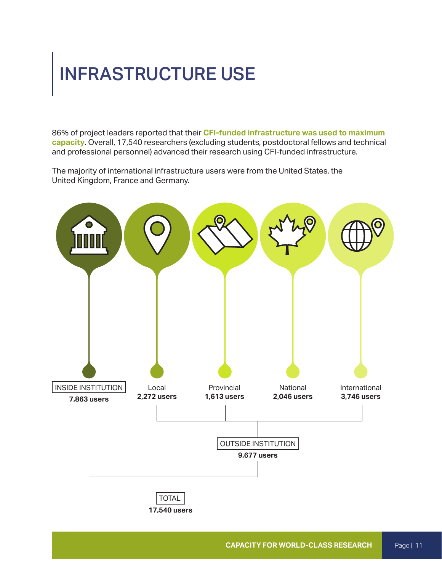#### <span id="page-10-0"></span>INFRASTRUCTURE USE

86% of project leaders reported that their **CFI-funded infrastructure was used to maximum capacity**. Overall, 17,540 researchers (excluding students, postdoctoral fellows and technical and professional personnel) advanced their research using CFI-funded infrastructure.

The majority of international infrastructure users were from the United States, the United Kingdom, France and Germany.

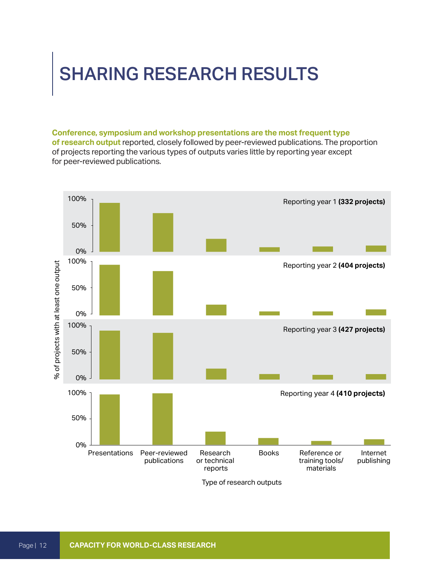#### <span id="page-11-0"></span>SHARING RESEARCH RESULTS

**Conference, symposium and workshop presentations are the most frequent type of research output** reported, closely followed by peer-reviewed publications. The proportion of projects reporting the various types of outputs varies little by reporting year except for peer-reviewed publications.

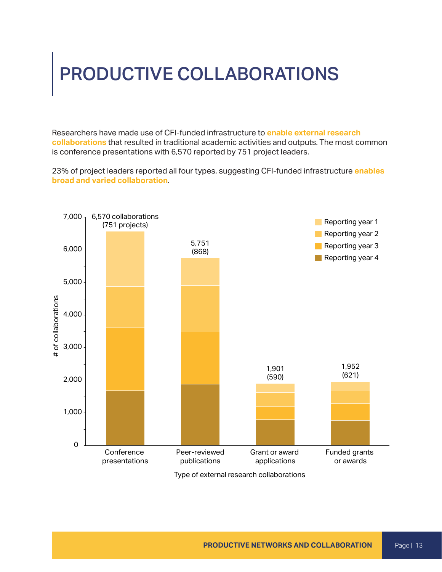## <span id="page-12-0"></span>PRODUCTIVE COLLABORATIONS

Researchers have made use of CFI-funded infrastructure to **enable external research collaborations** that resulted in traditional academic activities and outputs. The most common is conference presentations with 6,570 reported by 751 project leaders.

23% of project leaders reported all four types, suggesting CFI-funded infrastructure **enables broad and varied collaboration**.



Type of external research collaborations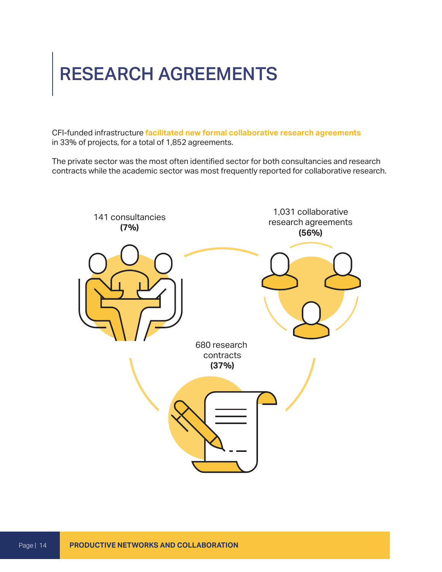#### <span id="page-13-0"></span>RESEARCH AGREEMENTS

CFI-funded infrastructure **facilitated new formal collaborative research agreements** in 33% of projects, for a total of 1,852 agreements.

The private sector was the most often identified sector for both consultancies and research contracts while the academic sector was most frequently reported for collaborative research.

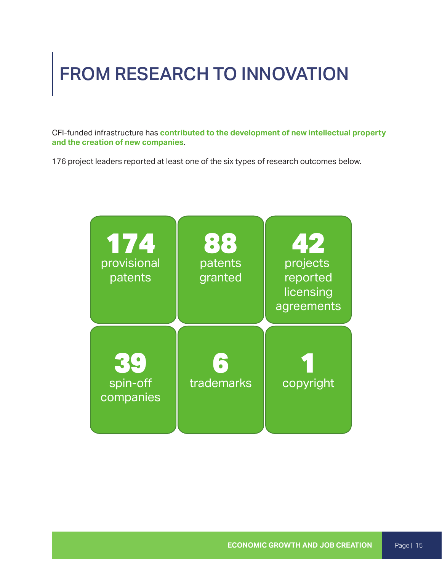## <span id="page-14-0"></span>FROM RESEARCH TO INNOVATION

CFI-funded infrastructure has **contributed to the development of new intellectual property and the creation of new companies**.

176 project leaders reported at least one of the six types of research outcomes below.

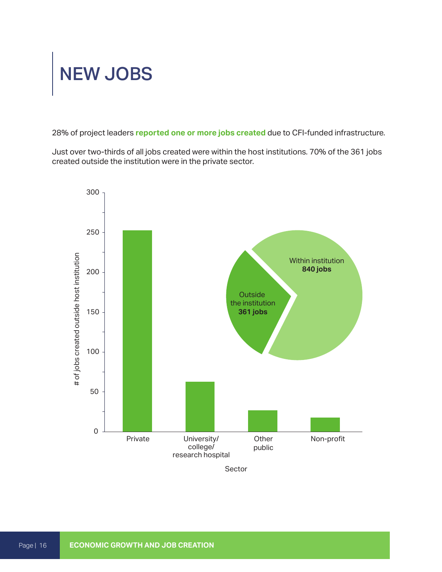## <span id="page-15-0"></span>NEW JOBS

28% of project leaders **reported one or more jobs created** due to CFI-funded infrastructure.

Just over two-thirds of all jobs created were within the host institutions. 70% of the 361 jobs created outside the institution were in the private sector.



Sector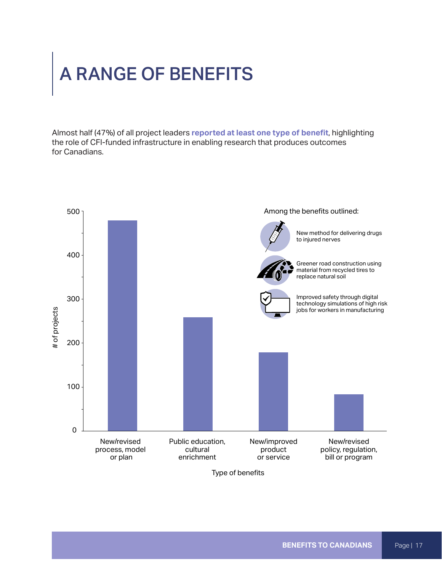#### <span id="page-16-0"></span>A RANGE OF BENEFITS

Almost half (47%) of all project leaders **reported at least one type of benefit**, highlighting the role of CFI-funded infrastructure in enabling research that produces outcomes for Canadians.



Type of benefits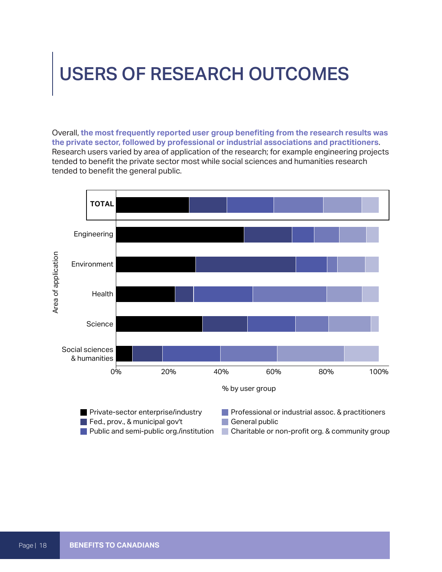#### <span id="page-17-0"></span>USERS OF RESEARCH OUTCOMES

Overall, **the most frequently reported user group benefiting from the research results was the private sector, followed by professional or industrial associations and practitioners**. Research users varied by area of application of the research; for example engineering projects tended to benefit the private sector most while social sciences and humanities research tended to benefit the general public.

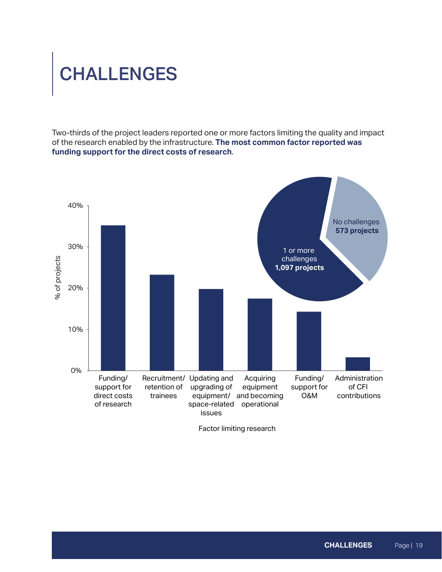# <span id="page-18-0"></span>CHALLENGES

Two-thirds of the project leaders reported one or more factors limiting the quality and impact of the research enabled by the infrastructure. **The most common factor reported was funding support for the direct costs of research**.

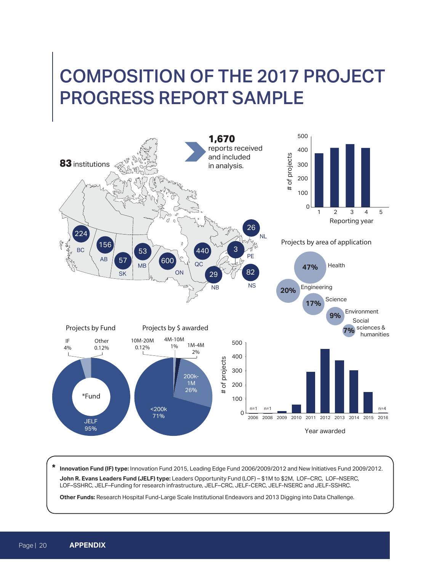#### <span id="page-19-0"></span>COMPOSITION OF THE 2017 PROJECT PROGRESS REPORT SAMPLE



**\* Innovation Fund (IF) type:** Innovation Fund 2015, Leading Edge Fund 2006/2009/2012 and New Initiatives Fund 2009/2012. **John R. Evans Leaders Fund (JELF) type:** Leaders Opportunity Fund (LOF) – \$1M to \$2M, LOF–CRC, LOF–NSERC, LOF–SSHRC, JELF–Funding for research infrastructure, JELF–CRC, JELF-CERC, JELF-NSERC and JELF-SSHRC.

**Other Funds:** Research Hospital Fund-Large Scale Institutional Endeavors and 2013 Digging into Data Challenge.